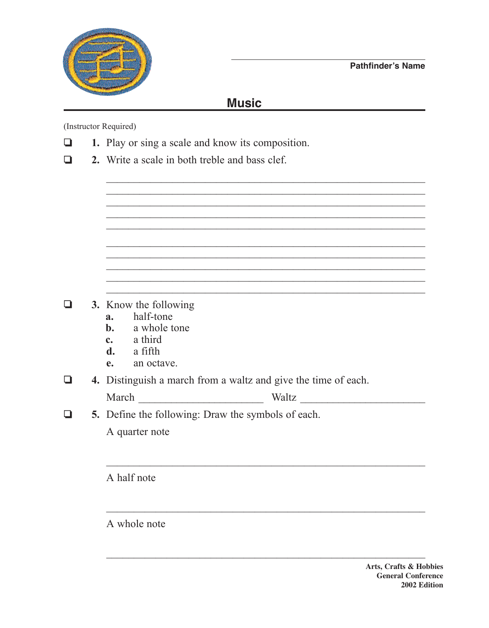



## **Music**

(Instructor Required)

- 1. Play or sing a scale and know its composition. ❏
- 2. Write a scale in both treble and bass clef.  $\Box$

- 3. Know the following Q
	- half-tone  $a<sub>z</sub>$
	- a whole tone  $\mathbf{b}$ .
	- a third  $\mathbf{c}$ .
	- a fifth d.
	- an octave.  $\mathbf{e}$ .
- 4. Distinguish a march from a waltz and give the time of each.  $\Box$

| March | Waltz |
|-------|-------|
|-------|-------|

 $\Box$ 5. Define the following: Draw the symbols of each.

A quarter note

A half note

A whole note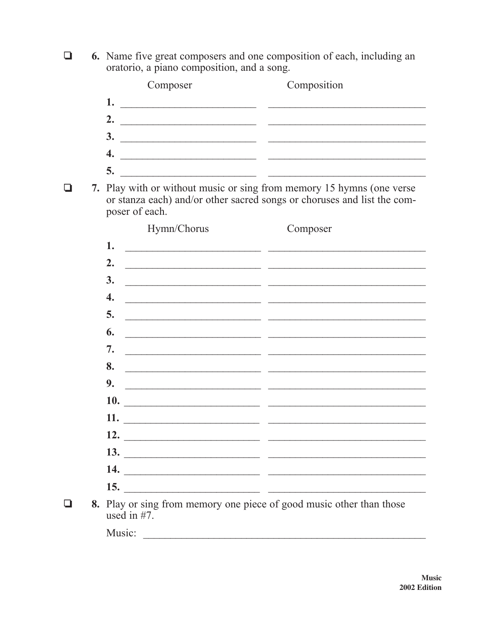**6.** Name five great composers and one composition of each, including an oratorio. a piano composition, and a song.  $\Box$ 

|  | Composer                                                                                                                    | Composition                                                                                                                                                                                                                          |
|--|-----------------------------------------------------------------------------------------------------------------------------|--------------------------------------------------------------------------------------------------------------------------------------------------------------------------------------------------------------------------------------|
|  | 1.                                                                                                                          |                                                                                                                                                                                                                                      |
|  | 2.                                                                                                                          |                                                                                                                                                                                                                                      |
|  | <b>3.</b><br><u> 2000 - Andrea Andrews, amerikan bisantista (h. 1878).</u>                                                  |                                                                                                                                                                                                                                      |
|  | 4.<br><u> 2008 - Andrea Andrew Maria (b. 1988)</u>                                                                          |                                                                                                                                                                                                                                      |
|  | 5.<br><u> 2000 - Jan James James Barnett, amerikan personal (h. 1900).</u>                                                  |                                                                                                                                                                                                                                      |
|  | poser of each.                                                                                                              | 7. Play with or without music or sing from memory 15 hymns (one verse<br>or stanza each) and/or other sacred songs or choruses and list the com-                                                                                     |
|  | Hymn/Chorus                                                                                                                 | Composer                                                                                                                                                                                                                             |
|  | 1.<br><u> 2000 - Jan James James James James James James James James James James James James James James James James J</u>  |                                                                                                                                                                                                                                      |
|  | 2.<br><u> 2000 - Januar Amerikaanse kommunister († 2000)</u>                                                                |                                                                                                                                                                                                                                      |
|  | 3.<br><u> 2000 - Jan James James James James James James James James James James James James James James James James J</u>  |                                                                                                                                                                                                                                      |
|  | 4.<br><u> 2000 - Januar Amerikaanse kommunister († 2000)</u>                                                                |                                                                                                                                                                                                                                      |
|  | 5.<br><u> 1980 - Jan Barbara Barbara, prima de la propincia de la propincia de la propincia de la propincia de la propi</u> |                                                                                                                                                                                                                                      |
|  | 6.                                                                                                                          | <u> 2000 - Jan Barnett, mars ann an t-Amhain ann an t-Amhain ann an t-Amhain ann an t-Amhain ann an t-Amhain ann an t-Amhain ann an t-Amhain ann an t-Amhain ann an t-Amhain ann an t-Amhain ann an t-Amhain ann an t-Amhain ann</u> |
|  | 7.                                                                                                                          | <u> 2000 - 2000 - 2000 - 2000 - 2000 - 2000 - 2000 - 2000 - 2000 - 2000 - 2000 - 2000 - 2000 - 2000 - 2000 - 200</u>                                                                                                                 |
|  | 8.                                                                                                                          | <u> 2000 - Jan Alexander Stein Berlin (d. 1989)</u>                                                                                                                                                                                  |
|  | 9.                                                                                                                          |                                                                                                                                                                                                                                      |
|  | <b>10.</b><br><u> 1980 - Jan Alexandria (h. 1980).</u>                                                                      |                                                                                                                                                                                                                                      |
|  |                                                                                                                             |                                                                                                                                                                                                                                      |
|  | $\frac{12.}{\sqrt{111}}$                                                                                                    |                                                                                                                                                                                                                                      |
|  | 13.                                                                                                                         |                                                                                                                                                                                                                                      |
|  |                                                                                                                             |                                                                                                                                                                                                                                      |
|  | 15.<br><u> 1980 - Andrea Andrew Maria (b. 1980)</u>                                                                         |                                                                                                                                                                                                                                      |
|  | 8. Play or sing from memory one piece of good music other than those<br>used in $#7$ .                                      |                                                                                                                                                                                                                                      |